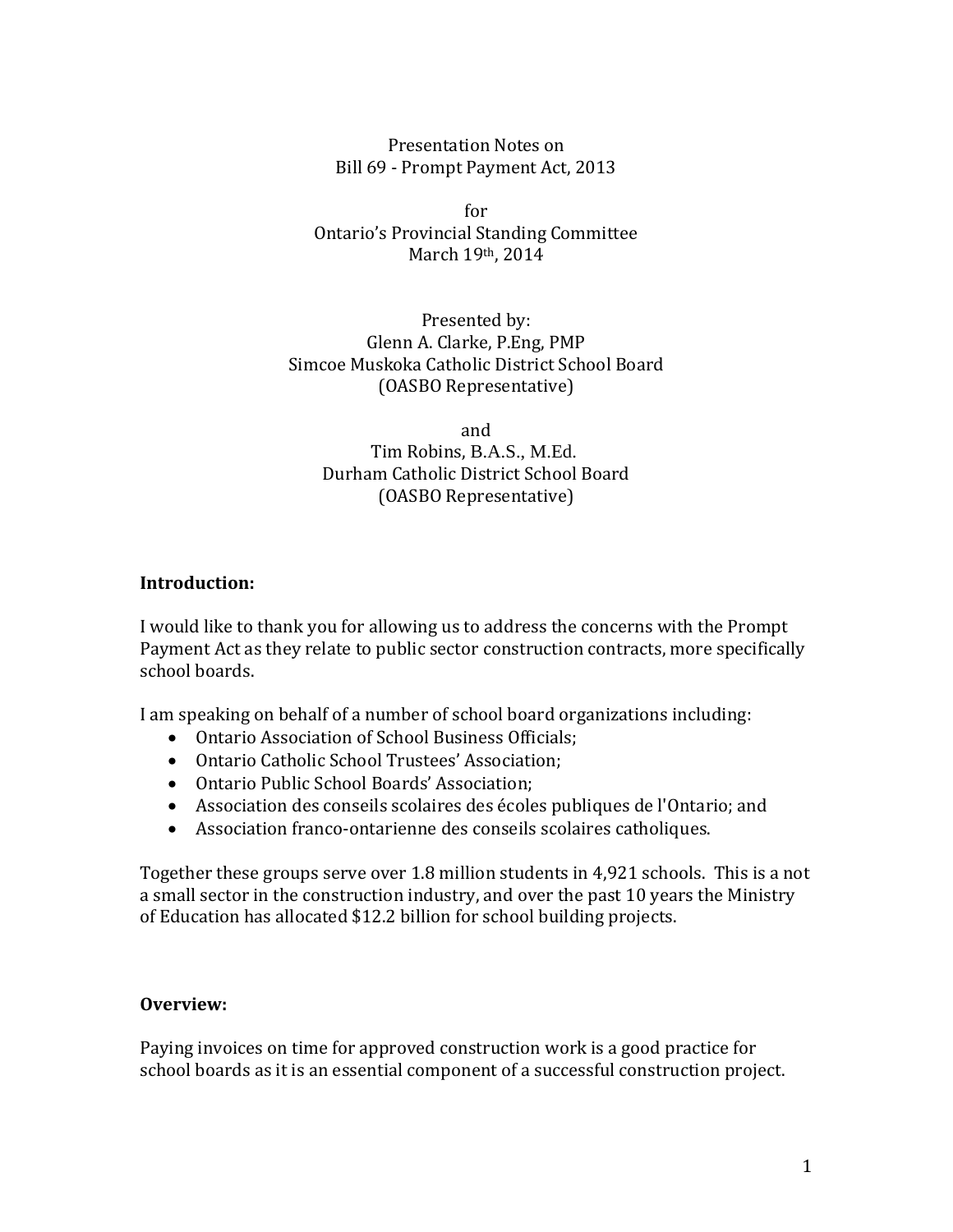Presentation Notes on Bill 69 - Prompt Payment Act, 2013

for Ontario's Provincial Standing Committee March 19th, 2014

Presented by: Glenn A. Clarke, P.Eng, PMP Simcoe Muskoka Catholic District School Board (OASBO Representative)

and Tim Robins, B.A.S., M.Ed. Durham Catholic District School Board (OASBO Representative)

## **Introduction:**

I would like to thank you for allowing us to address the concerns with the Prompt Payment Act as they relate to public sector construction contracts, more specifically school boards.

I am speaking on behalf of a number of school board organizations including:

- Ontario Association of School Business Officials;
- Ontario Catholic School Trustees' Association;
- Ontario Public School Boards' Association;
- Association des conseils scolaires des écoles publiques de l'Ontario; and
- Association franco-ontarienne des conseils scolaires catholiques.

Together these groups serve over 1.8 million students in 4,921 schools. This is a not a small sector in the construction industry, and over the past 10 years the Ministry of Education has allocated \$12.2 billion for school building projects.

## **Overview:**

Paying invoices on time for approved construction work is a good practice for school boards as it is an essential component of a successful construction project.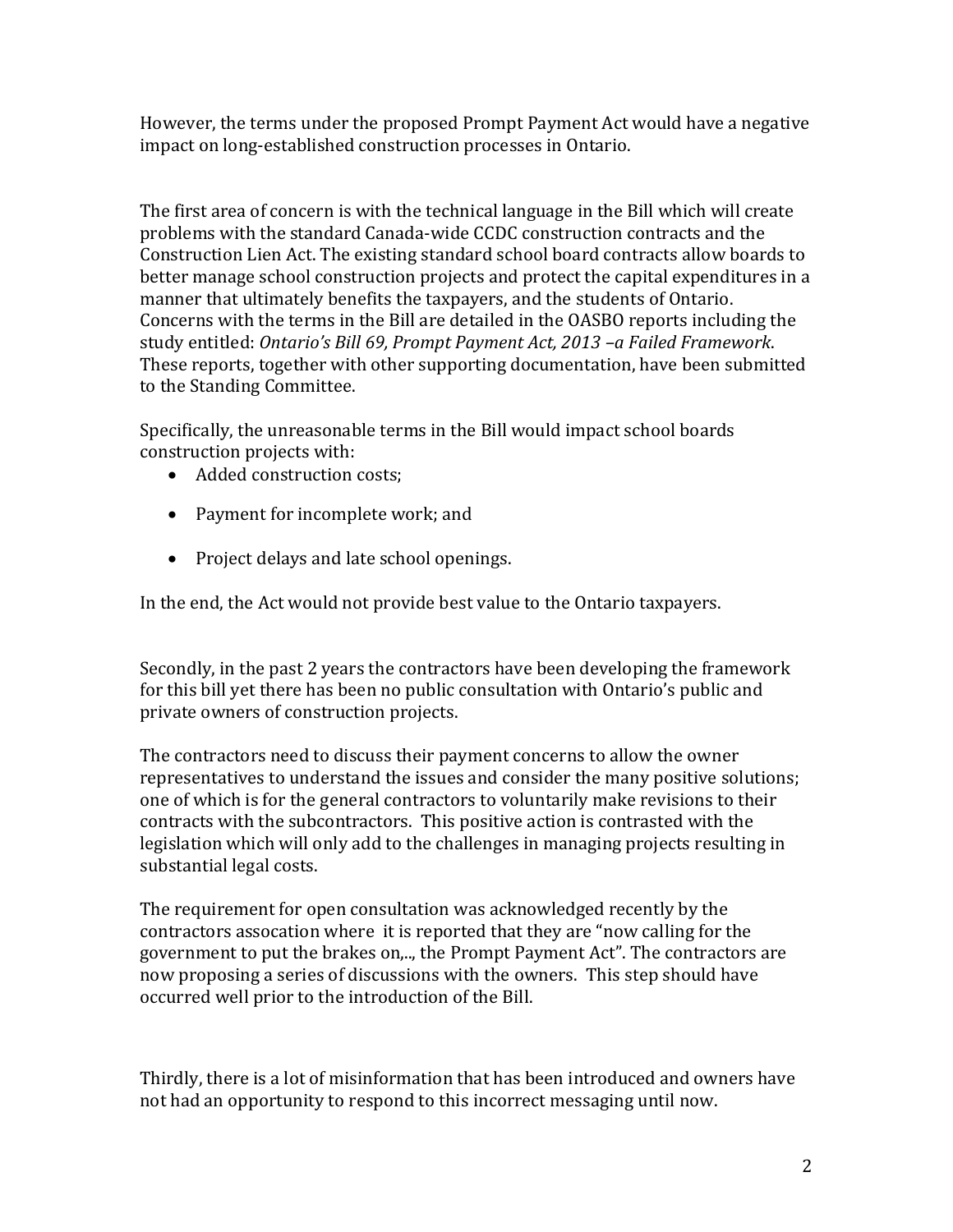However, the terms under the proposed Prompt Payment Act would have a negative impact on long-established construction processes in Ontario.

The first area of concern is with the technical language in the Bill which will create problems with the standard Canada-wide CCDC construction contracts and the Construction Lien Act. The existing standard school board contracts allow boards to better manage school construction projects and protect the capital expenditures in a manner that ultimately benefits the taxpayers, and the students of Ontario. Concerns with the terms in the Bill are detailed in the OASBO reports including the study entitled: *Ontario's Bill 69, Prompt Payment Act, 2013 –a Failed Framework*. These reports, together with other supporting documentation, have been submitted to the Standing Committee.

Specifically, the unreasonable terms in the Bill would impact school boards construction projects with:

- Added construction costs;
- Payment for incomplete work; and
- Project delays and late school openings.

In the end, the Act would not provide best value to the Ontario taxpayers.

Secondly, in the past 2 years the contractors have been developing the framework for this bill yet there has been no public consultation with Ontario's public and private owners of construction projects.

The contractors need to discuss their payment concerns to allow the owner representatives to understand the issues and consider the many positive solutions; one of which is for the general contractors to voluntarily make revisions to their contracts with the subcontractors. This positive action is contrasted with the legislation which will only add to the challenges in managing projects resulting in substantial legal costs.

The requirement for open consultation was acknowledged recently by the contractors assocation where it is reported that they are "now calling for the government to put the brakes on,.., the Prompt Payment Act". The contractors are now proposing a series of discussions with the owners. This step should have occurred well prior to the introduction of the Bill.

Thirdly, there is a lot of misinformation that has been introduced and owners have not had an opportunity to respond to this incorrect messaging until now.